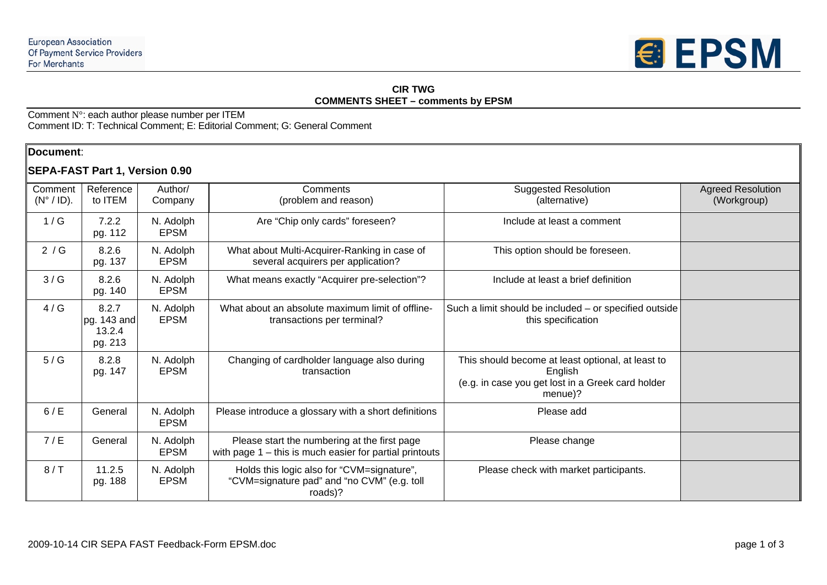

#### **CIR TWG COMMENTS SHEET – comments by EPSM**

Comment N°: each author please number per ITEM Comment ID: T: Technical Comment; E: Editorial Comment; G: General Comment

#### **Document**:

# **SEPA-FAST Part 1, Version 0.90**

| Comment<br>$(N^{\circ} / ID)$ . | Reference<br>to ITEM                      | Author/<br>Company       | Comments<br>(problem and reason)                                                                          | <b>Suggested Resolution</b><br>(alternative)                                                                                 | <b>Agreed Resolution</b><br>(Workgroup) |
|---------------------------------|-------------------------------------------|--------------------------|-----------------------------------------------------------------------------------------------------------|------------------------------------------------------------------------------------------------------------------------------|-----------------------------------------|
| 1/G                             | 7.2.2<br>pg. 112                          | N. Adolph<br><b>EPSM</b> | Are "Chip only cards" foreseen?                                                                           | Include at least a comment                                                                                                   |                                         |
| 2 / G                           | 8.2.6<br>pg. 137                          | N. Adolph<br><b>EPSM</b> | What about Multi-Acquirer-Ranking in case of<br>several acquirers per application?                        | This option should be foreseen.                                                                                              |                                         |
| 3/G                             | 8.2.6<br>pg. 140                          | N. Adolph<br><b>EPSM</b> | What means exactly "Acquirer pre-selection"?                                                              | Include at least a brief definition                                                                                          |                                         |
| 4/G                             | 8.2.7<br>pg. 143 and<br>13.2.4<br>pg. 213 | N. Adolph<br><b>EPSM</b> | What about an absolute maximum limit of offline-<br>transactions per terminal?                            | Such a limit should be included - or specified outside<br>this specification                                                 |                                         |
| 5/G                             | 8.2.8<br>pg. 147                          | N. Adolph<br><b>EPSM</b> | Changing of cardholder language also during<br>transaction                                                | This should become at least optional, at least to<br>English<br>(e.g. in case you get lost in a Greek card holder<br>menue)? |                                         |
| 6/E                             | General                                   | N. Adolph<br><b>EPSM</b> | Please introduce a glossary with a short definitions                                                      | Please add                                                                                                                   |                                         |
| 7/E                             | General                                   | N. Adolph<br><b>EPSM</b> | Please start the numbering at the first page<br>with page $1 -$ this is much easier for partial printouts | Please change                                                                                                                |                                         |
| 8/7                             | 11.2.5<br>pg. 188                         | N. Adolph<br><b>EPSM</b> | Holds this logic also for "CVM=signature",<br>"CVM=signature pad" and "no CVM" (e.g. toll<br>roads)?      | Please check with market participants.                                                                                       |                                         |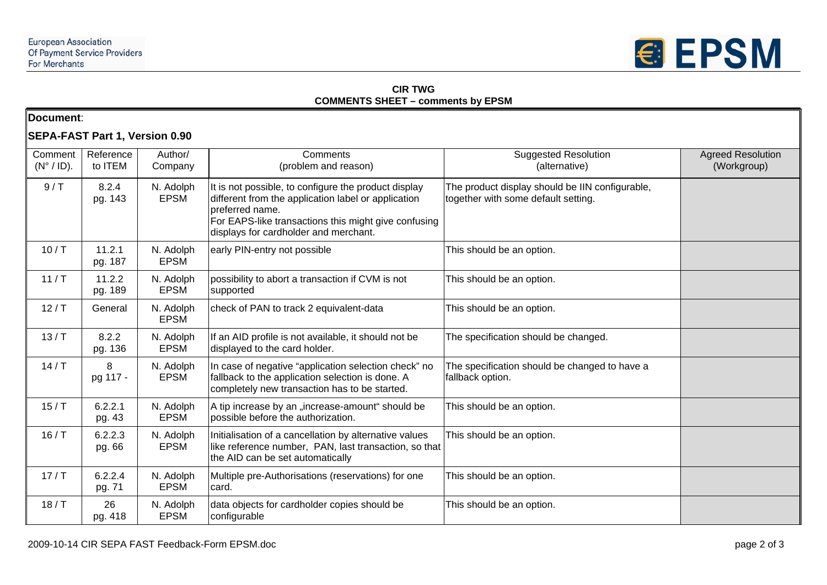

### **CIR TWG COMMENTS SHEET – comments by EPSM**

| Document: |  |
|-----------|--|
|-----------|--|

# **SEPA-FAST Part 1, Version 0.90**

| Comment<br>$(N^{\circ} / ID)$ . | Reference<br>to ITEM | Author/<br>Company       | Comments<br>(problem and reason)                                                                                                                                                                                                | <b>Suggested Resolution</b><br>(alternative)                                           | <b>Agreed Resolution</b><br>(Workgroup) |
|---------------------------------|----------------------|--------------------------|---------------------------------------------------------------------------------------------------------------------------------------------------------------------------------------------------------------------------------|----------------------------------------------------------------------------------------|-----------------------------------------|
| 9/7                             | 8.2.4<br>pg. 143     | N. Adolph<br><b>EPSM</b> | It is not possible, to configure the product display<br>different from the application label or application<br>preferred name.<br>For EAPS-like transactions this might give confusing<br>displays for cardholder and merchant. | The product display should be IIN configurable,<br>together with some default setting. |                                         |
| 10/ T                           | 11.2.1<br>pg. 187    | N. Adolph<br><b>EPSM</b> | early PIN-entry not possible                                                                                                                                                                                                    | This should be an option.                                                              |                                         |
| 11/T                            | 11.2.2<br>pg. 189    | N. Adolph<br><b>EPSM</b> | possibility to abort a transaction if CVM is not<br>supported                                                                                                                                                                   | This should be an option.                                                              |                                         |
| 12/ T                           | General              | N. Adolph<br><b>EPSM</b> | check of PAN to track 2 equivalent-data                                                                                                                                                                                         | This should be an option.                                                              |                                         |
| 13/T                            | 8.2.2<br>pg. 136     | N. Adolph<br><b>EPSM</b> | If an AID profile is not available, it should not be<br>displayed to the card holder.                                                                                                                                           | The specification should be changed.                                                   |                                         |
| 14/ T                           | 8<br>pg 117 -        | N. Adolph<br><b>EPSM</b> | In case of negative "application selection check" no<br>fallback to the application selection is done. A<br>completely new transaction has to be started.                                                                       | The specification should be changed to have a<br>fallback option.                      |                                         |
| 15/ T                           | 6.2.2.1<br>pg. 43    | N. Adolph<br><b>EPSM</b> | A tip increase by an "increase-amount" should be<br>possible before the authorization.                                                                                                                                          | This should be an option.                                                              |                                         |
| 16/ T                           | 6.2.2.3<br>pg. 66    | N. Adolph<br><b>EPSM</b> | Initialisation of a cancellation by alternative values<br>like reference number, PAN, last transaction, so that<br>the AID can be set automatically                                                                             | This should be an option.                                                              |                                         |
| 17/ T                           | 6.2.2.4<br>pg. 71    | N. Adolph<br><b>EPSM</b> | Multiple pre-Authorisations (reservations) for one<br>card.                                                                                                                                                                     | This should be an option.                                                              |                                         |
| 18/ T                           | 26<br>pg. 418        | N. Adolph<br><b>EPSM</b> | data objects for cardholder copies should be<br>configurable                                                                                                                                                                    | This should be an option.                                                              |                                         |